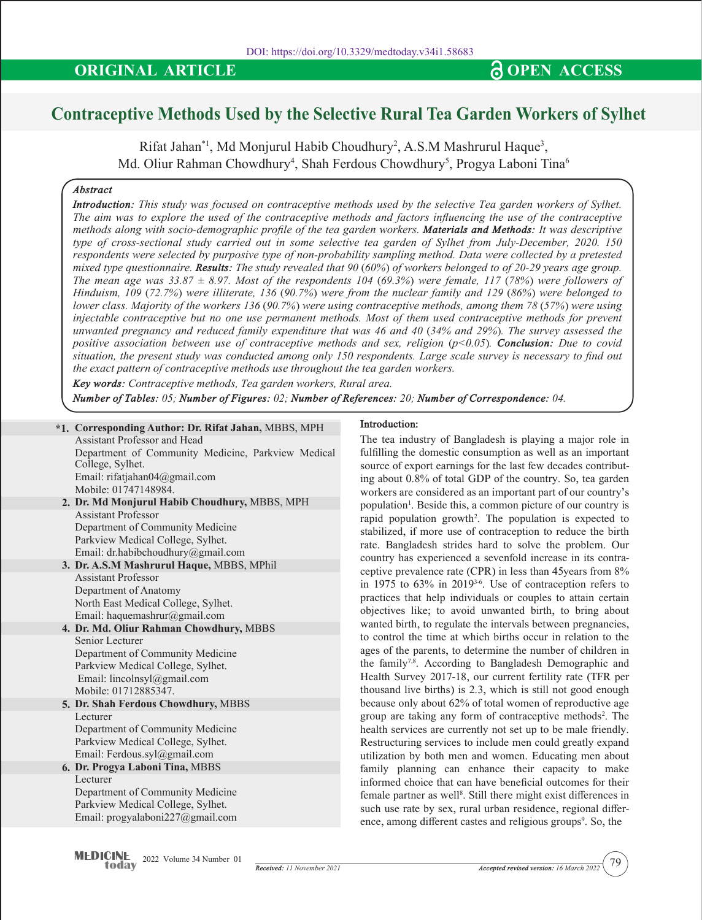# **Contraceptive Methods Used by the Selective Rural Tea Garden Workers of Sylhet**

 $\rm Rif$ at Jahan $^{\ast}$ l, Md Monjurul Habib Choudhury $^2$ , A.S.M Mashrurul Haque $^3,$ Md. Oliur Rahman Chowdhury<sup>4</sup>, Shah Ferdous Chowdhury<sup>5</sup>, Progya Laboni Tina<sup>6</sup>

# *Abstract*

*Introduction: This study was focused on contraceptive methods used by the selective Tea garden workers of Sylhet. The aim was to explore the used of the contraceptive methods and factors influencing the use of the contraceptive methods along with socio-demographic profile of the tea garden workers. Materials and Methods: It was descriptive type of cross-sectional study carried out in some selective tea garden of Sylhet from July-December, 2020. 150 respondents were selected by purposive type of non-probability sampling method. Data were collected by a pretested mixed type questionnaire. Results: The study revealed that 90 (60%) of workers belonged to of 20-29 years age group. The mean age was 33.87 ± 8.97. Most of the respondents 104 (69.3%) were female, 117 (78%) were followers of Hinduism, 109 (72.7%) were illiterate, 136 (90.7%) were from the nuclear family and 129 (86%) were belonged to lower class. Majority of the workers 136 (90.7%) were using contraceptive methods, among them 78 (57%) were using injectable contraceptive but no one use permanent methods. Most of them used contraceptive methods for prevent unwanted pregnancy and reduced family expenditure that was 46 and 40 (34% and 29%). The survey assessed the positive association between use of contraceptive methods and sex, religion (p<0.05). Conclusion: Due to covid situation, the present study was conducted among only 150 respondents. Large scale survey is necessary to find out the exact pattern of contraceptive methods use throughout the tea garden workers.*

*Key words: Contraceptive methods, Tea garden workers, Rural area.*

*Number of Tables: 05; Number of Figures: 02; Number of References: 20; Number of Correspondence: 04.*

**2. Dr. Md Monjurul Habib Choudhury,** MBBS, MPH **3. Dr. A.S.M Mashrurul Haque,** MBBS, MPhil **4. Dr. Md. Oliur Rahman Chowdhury,** MBBS **5. Dr. Shah Ferdous Chowdhury,** MBBS **6. Dr. Progya Laboni Tina,** MBBS **\*1. Corresponding Author: Dr. Rifat Jahan,** MBBS, MPH Assistant Professor and Head Department of Community Medicine, Parkview Medical College, Sylhet. Email: rifatjahan04@gmail.com Mobile: 01747148984. Assistant Professor Department of Community Medicine Parkview Medical College, Sylhet. Email: dr.habibchoudhury@gmail.com Assistant Professor Department of Anatomy North East Medical College, Sylhet. Email: haquemashrur@gmail.com Senior Lecturer Department of Community Medicine Parkview Medical College, Sylhet. Email: lincolnsyl@gmail.com Mobile: 01712885347. Lecturer Department of Community Medicine Parkview Medical College, Sylhet. Email: Ferdous.syl@gmail.com Lecturer Department of Community Medicine Parkview Medical College, Sylhet. Email: progyalaboni227@gmail.com

**Introduction:** 

The tea industry of Bangladesh is playing a major role in fulfilling the domestic consumption as well as an important source of export earnings for the last few decades contributing about 0.8% of total GDP of the country. So, tea garden workers are considered as an important part of our country's population<sup>1</sup>. Beside this, a common picture of our country is rapid population growth2 . The population is expected to stabilized, if more use of contraception to reduce the birth rate. Bangladesh strides hard to solve the problem. Our country has experienced a sevenfold increase in its contraceptive prevalence rate (CPR) in less than 45years from 8% in 1975 to 63% in 20193-6. Use of contraception refers to practices that help individuals or couples to attain certain objectives like; to avoid unwanted birth, to bring about wanted birth, to regulate the intervals between pregnancies, to control the time at which births occur in relation to the ages of the parents, to determine the number of children in the family<sup>7,8</sup>. According to Bangladesh Demographic and Health Survey 2017-18, our current fertility rate (TFR per thousand live births) is 2.3, which is still not good enough because only about 62% of total women of reproductive age group are taking any form of contraceptive methods2 . The health services are currently not set up to be male friendly. Restructuring services to include men could greatly expand utilization by both men and women. Educating men about family planning can enhance their capacity to make informed choice that can have beneficial outcomes for their female partner as well<sup>8</sup>. Still there might exist differences in such use rate by sex, rural urban residence, regional difference, among different castes and religious groups<sup>9</sup>. So, the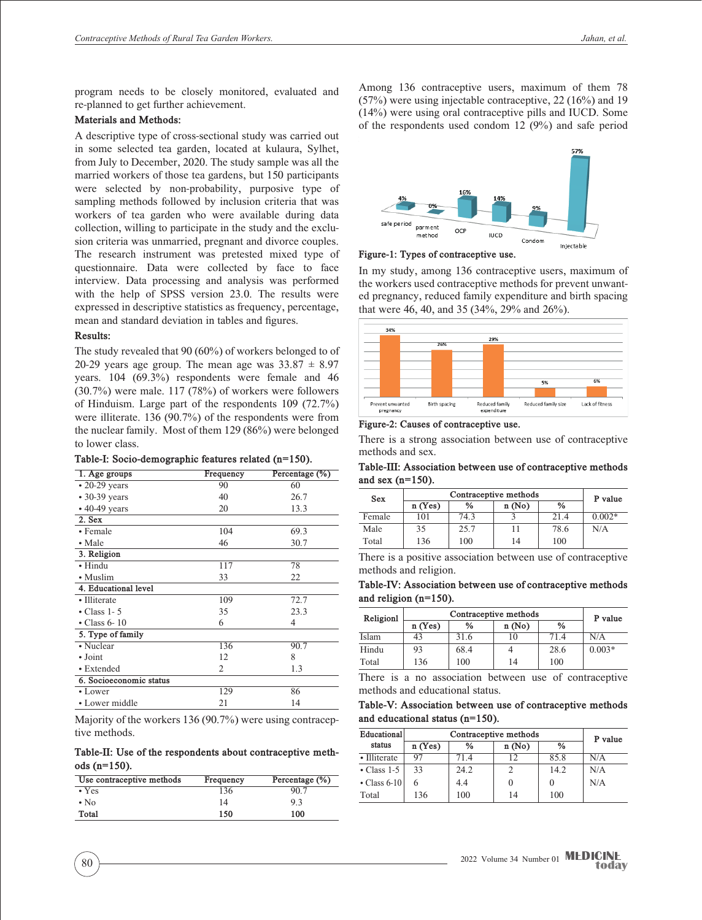program needs to be closely monitored, evaluated and re-planned to get further achievement.

# **Materials and Methods:**

A descriptive type of cross-sectional study was carried out in some selected tea garden, located at kulaura, Sylhet, from July to December, 2020. The study sample was all the married workers of those tea gardens, but 150 participants were selected by non-probability, purposive type of sampling methods followed by inclusion criteria that was workers of tea garden who were available during data collection, willing to participate in the study and the exclusion criteria was unmarried, pregnant and divorce couples. The research instrument was pretested mixed type of questionnaire. Data were collected by face to face interview. Data processing and analysis was performed with the help of SPSS version 23.0. The results were expressed in descriptive statistics as frequency, percentage, mean and standard deviation in tables and figures.

### **Results:**

The study revealed that 90 (60%) of workers belonged to of 20-29 years age group. The mean age was  $33.87 \pm 8.97$ years. 104 (69.3%) respondents were female and 46 (30.7%) were male. 117 (78%) of workers were followers of Hinduism. Large part of the respondents 109 (72.7%) were illiterate. 136 (90.7%) of the respondents were from the nuclear family. Most of them 129 (86%) were belonged to lower class.

| Table-I: Socio-demographic features related (n=150). |  |
|------------------------------------------------------|--|
|------------------------------------------------------|--|

| 1. Age groups           | Frequency | Percentage (%) |  |
|-------------------------|-----------|----------------|--|
| $\cdot$ 20-29 years     | 90        | 60             |  |
| • 30-39 years           | 40        | 26.7           |  |
| • 40-49 years           | 20        | 13.3           |  |
| 2. Sex                  |           |                |  |
| • Female                | 104       | 69.3           |  |
| • Male                  | 46        | 30.7           |  |
| 3. Religion             |           |                |  |
| • Hindu                 | 117       | 78             |  |
| • Muslim                | 33        | 22             |  |
| 4. Educational level    |           |                |  |
| • Illiterate            | 109       | 72.7           |  |
| $\cdot$ Class 1-5       | 35        | 23.3           |  |
| $\cdot$ Class 6-10      | 6         | 4              |  |
| 5. Type of family       |           |                |  |
| • Nuclear               | 136       | 90.7           |  |
| $\bullet$ Joint         | 12        | 8              |  |
| • Extended              | 2         | 1.3            |  |
| 6. Socioeconomic status |           |                |  |
| • Lower                 | 129       | 86             |  |
| • Lower middle          | 21        | 14             |  |

Majority of the workers 136 (90.7%) were using contraceptive methods.

**Table-II: Use of the respondents about contraceptive methods (n=150).**

| Use contraceptive methods | Frequency | Percentage (%) |
|---------------------------|-----------|----------------|
| $\cdot$ Yes               | 136       | 90.7           |
| $\cdot$ No.               | 14        | 9.3            |
| Total                     | 150       | 100            |

Among 136 contraceptive users, maximum of them 78 (57%) were using injectable contraceptive, 22 (16%) and 19 (14%) were using oral contraceptive pills and IUCD. Some of the respondents used condom 12 (9%) and safe period



**Figure-1: Types of contraceptive use.**

In my study, among 136 contraceptive users, maximum of the workers used contraceptive methods for prevent unwanted pregnancy, reduced family expenditure and birth spacing that were 46, 40, and 35 (34%, 29% and 26%).



**Figure-2: Causes of contraceptive use.**

There is a strong association between use of contraceptive methods and sex.

**Table-III: Association between use of contraceptive methods and sex (n=150).**

| <b>Sex</b> | Contraceptive methods |               |       |               | P value  |
|------------|-----------------------|---------------|-------|---------------|----------|
|            | n(Yes)                | $\frac{0}{0}$ | n(No) | $\frac{6}{9}$ |          |
| Female     | 101                   | 74.3          |       | 21.4          | $0.002*$ |
| Male       | 35                    | 25.7          | 11    | 78.6          | N/A      |
| Total      | 136                   | 100           | 14    | 100           |          |

There is a positive association between use of contraceptive methods and religion.

**Table-IV: Association between use of contraceptive methods and religion (n=150).**

| Religion | Contraceptive methods |               |       |               |          |
|----------|-----------------------|---------------|-------|---------------|----------|
|          | n(Yes)                | $\frac{0}{0}$ | n(No) | $\frac{0}{0}$ | P value  |
| Islam    | 43                    | 31.6          | 10    | 71.4          | N/A      |
| Hindu    | 93                    | 68.4          |       | 28.6          | $0.003*$ |
| Total    | 136                   | 100           | 14    | 100           |          |

There is a no association between use of contraceptive methods and educational status.

**Table-V: Association between use of contraceptive methods and educational status (n=150).**

| Educational        | Contraceptive methods |               |          |               | P value |
|--------------------|-----------------------|---------------|----------|---------------|---------|
| status             | n(Yes)                | $\frac{0}{0}$ | n(No)    | $\frac{0}{0}$ |         |
| • Illiterate       | 97                    | 714           | 12       | 85.8          | N/A     |
| $\cdot$ Class 1-5  | 33                    | 24.2          | 2        | 14.2          | N/A     |
| $\cdot$ Class 6-10 | 6                     | 4.4           | $\theta$ |               | N/A     |
| Total              | 136                   | 100           | 14       | 100           |         |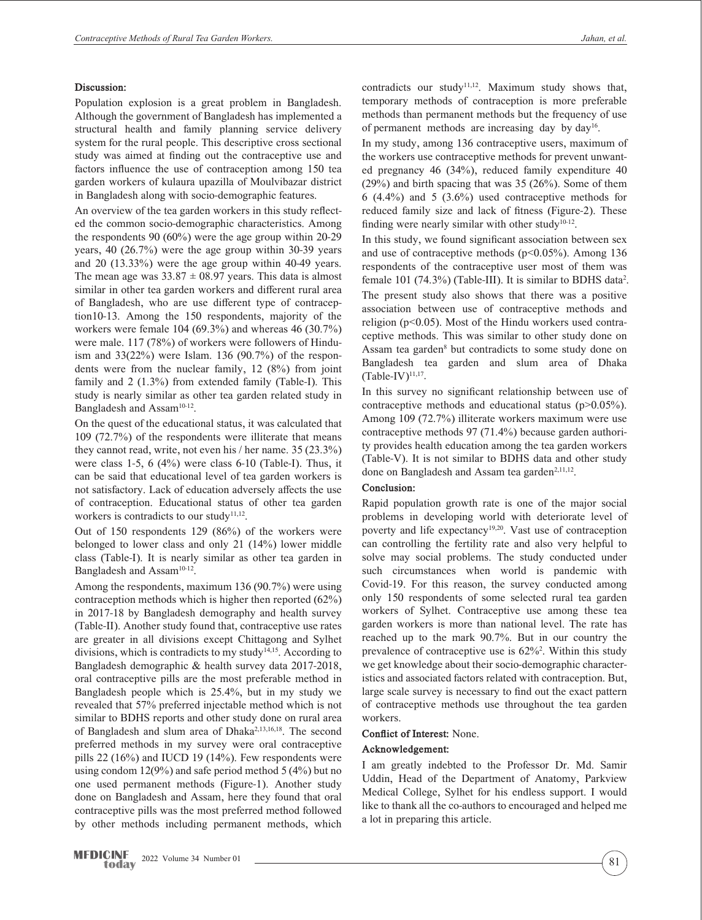## **Discussion:**

Population explosion is a great problem in Bangladesh. Although the government of Bangladesh has implemented a structural health and family planning service delivery system for the rural people. This descriptive cross sectional study was aimed at finding out the contraceptive use and factors influence the use of contraception among 150 tea garden workers of kulaura upazilla of Moulvibazar district in Bangladesh along with socio-demographic features.

An overview of the tea garden workers in this study reflected the common socio-demographic characteristics. Among the respondents 90 (60%) were the age group within 20-29 years, 40 (26.7%) were the age group within 30-39 years and 20 (13.33%) were the age group within 40-49 years. The mean age was  $33.87 \pm 08.97$  years. This data is almost similar in other tea garden workers and different rural area of Bangladesh, who are use different type of contraception10-13. Among the 150 respondents, majority of the workers were female 104 (69.3%) and whereas 46 (30.7%) were male. 117 (78%) of workers were followers of Hinduism and 33(22%) were Islam. 136 (90.7%) of the respondents were from the nuclear family, 12 (8%) from joint family and 2 (1.3%) from extended family (Table-I). This study is nearly similar as other tea garden related study in Bangladesh and Assam<sup>10-12</sup>.

On the quest of the educational status, it was calculated that 109 (72.7%) of the respondents were illiterate that means they cannot read, write, not even his / her name. 35 (23.3%) were class 1-5, 6  $(4\%)$  were class 6-10 (Table-I). Thus, it can be said that educational level of tea garden workers is not satisfactory. Lack of education adversely affects the use of contraception. Educational status of other tea garden workers is contradicts to our study<sup>11,12</sup>.

Out of 150 respondents 129 (86%) of the workers were belonged to lower class and only 21 (14%) lower middle class (Table-I). It is nearly similar as other tea garden in Bangladesh and Assam<sup>10-12</sup>.

Among the respondents, maximum 136 (90.7%) were using contraception methods which is higher then reported (62%) in 2017-18 by Bangladesh demography and health survey (Table-II). Another study found that, contraceptive use rates are greater in all divisions except Chittagong and Sylhet divisions, which is contradicts to my study<sup>14,15</sup>. According to Bangladesh demographic & health survey data 2017-2018, oral contraceptive pills are the most preferable method in Bangladesh people which is 25.4%, but in my study we revealed that 57% preferred injectable method which is not similar to BDHS reports and other study done on rural area of Bangladesh and slum area of Dhaka2,13,16,18. The second preferred methods in my survey were oral contraceptive pills 22 (16%) and IUCD 19 (14%). Few respondents were using condom 12(9%) and safe period method 5 (4%) but no one used permanent methods (Figure-1). Another study done on Bangladesh and Assam, here they found that oral contraceptive pills was the most preferred method followed by other methods including permanent methods, which contradicts our study<sup>11,12</sup>. Maximum study shows that, temporary methods of contraception is more preferable methods than permanent methods but the frequency of use of permanent methods are increasing day by day<sup>16</sup>.

In my study, among 136 contraceptive users, maximum of the workers use contraceptive methods for prevent unwanted pregnancy 46 (34%), reduced family expenditure 40 (29%) and birth spacing that was 35 (26%). Some of them 6 (4.4%) and 5 (3.6%) used contraceptive methods for reduced family size and lack of fitness (Figure-2). These finding were nearly similar with other study<sup>10-12</sup>.

In this study, we found significant association between sex and use of contraceptive methods  $(p<0.05\%)$ . Among 136 respondents of the contraceptive user most of them was female 101 (74.3%) (Table-III). It is similar to BDHS data<sup>2</sup>. The present study also shows that there was a positive association between use of contraceptive methods and religion (p<0.05). Most of the Hindu workers used contraceptive methods. This was similar to other study done on Assam tea garden<sup>8</sup> but contradicts to some study done on Bangladesh tea garden and slum area of Dhaka  $(Table-IV)^{11,17}$ .

In this survey no significant relationship between use of contraceptive methods and educational status (p>0.05%). Among 109 (72.7%) illiterate workers maximum were use contraceptive methods 97 (71.4%) because garden authority provides health education among the tea garden workers (Table-V). It is not similar to BDHS data and other study done on Bangladesh and Assam tea garden<sup>2,11,12</sup>.

#### **Conclusion:**

Rapid population growth rate is one of the major social problems in developing world with deteriorate level of poverty and life expectancy<sup>19,20</sup>. Vast use of contraception can controlling the fertility rate and also very helpful to solve may social problems. The study conducted under such circumstances when world is pandemic with Covid-19. For this reason, the survey conducted among only 150 respondents of some selected rural tea garden workers of Sylhet. Contraceptive use among these tea garden workers is more than national level. The rate has reached up to the mark 90.7%. But in our country the prevalence of contraceptive use is  $62\%^2$ . Within this study we get knowledge about their socio-demographic characteristics and associated factors related with contraception. But, large scale survey is necessary to find out the exact pattern of contraceptive methods use throughout the tea garden workers.

#### **Conflict of Interest:** None.

#### **Acknowledgement:**

I am greatly indebted to the Professor Dr. Md. Samir Uddin, Head of the Department of Anatomy, Parkview Medical College, Sylhet for his endless support. I would like to thank all the co-authors to encouraged and helped me a lot in preparing this article.